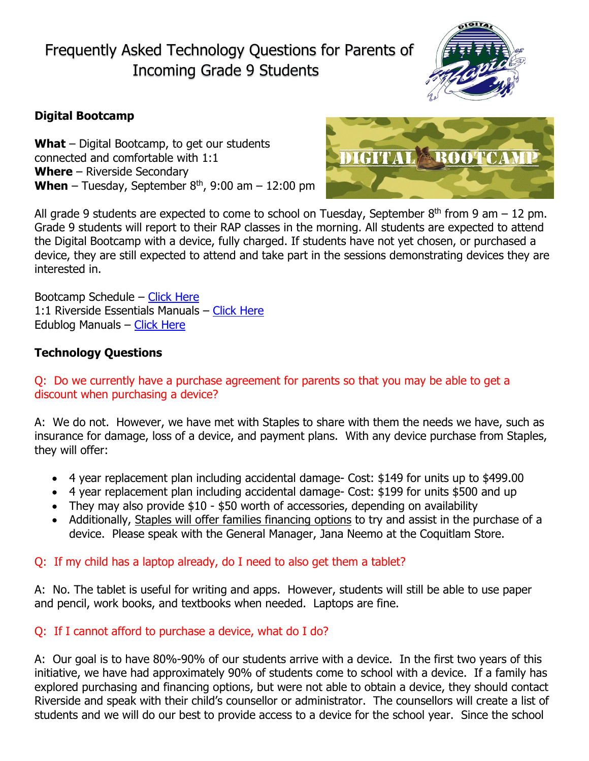Frequently Asked Technology Questions for Parents of Incoming Grade 9 Students



# **Digital Bootcamp**

**What** – Digital Bootcamp, to get our students connected and comfortable with 1:1 **Where** – Riverside Secondary **When** – Tuesday, September  $8<sup>th</sup>$ , 9:00 am – 12:00 pm



All grade 9 students are expected to come to school on Tuesday, September  $8<sup>th</sup>$  from 9 am – 12 pm. Grade 9 students will report to their RAP classes in the morning. All students are expected to attend the Digital Bootcamp with a device, fully charged. If students have not yet chosen, or purchased a device, they are still expected to attend and take part in the sessions demonstrating devices they are interested in.

Bootcamp Schedule – [Click Here](http://myriverside.sd43.bc.ca/bgee/bootcamp-schedule/) 1:1 Riverside Essentials Manuals – [Click Here](http://www.sd43.bc.ca/secondary/riverside/ProgramsServices/Technology/Grade91to1/Pages/default.aspx?RootFolder=%2fsecondary%2friverside%2fProgramsServices%2fTechnology%2fGrade91to1%2fDocuments%2fRiverside%20Essentials&FolderCTID=&View=%7b9C545DB4-8AD6-4212-A565-079C1F83889E%7d) Edublog Manuals – [Click Here](http://www.sd43.bc.ca/secondary/riverside/ProgramsServices/Technology/Grade91to1/Pages/default.aspx?RootFolder=%2fsecondary%2friverside%2fProgramsServices%2fTechnology%2fGrade91to1%2fDocuments%2fEdublogs&FolderCTID=&View=%7b9C545DB4-8AD6-4212-A565-079C1F83889E%7d)

# **Technology Questions**

## Q: Do we currently have a purchase agreement for parents so that you may be able to get a discount when purchasing a device?

A: We do not. However, we have met with Staples to share with them the needs we have, such as insurance for damage, loss of a device, and payment plans. With any device purchase from Staples, they will offer:

- 4 year replacement plan including accidental damage- Cost: \$149 for units up to \$499.00
- 4 year replacement plan including accidental damage- Cost: \$199 for units \$500 and up
- They may also provide \$10 \$50 worth of accessories, depending on availability
- Additionally, Staples will offer families financing options to try and assist in the purchase of a device. Please speak with the General Manager, Jana Neemo at the Coquitlam Store.

### Q: If my child has a laptop already, do I need to also get them a tablet?

A: No. The tablet is useful for writing and apps. However, students will still be able to use paper and pencil, work books, and textbooks when needed. Laptops are fine.

### Q: If I cannot afford to purchase a device, what do I do?

A: Our goal is to have 80%-90% of our students arrive with a device. In the first two years of this initiative, we have had approximately 90% of students come to school with a device. If a family has explored purchasing and financing options, but were not able to obtain a device, they should contact Riverside and speak with their child's counsellor or administrator. The counsellors will create a list of students and we will do our best to provide access to a device for the school year. Since the school